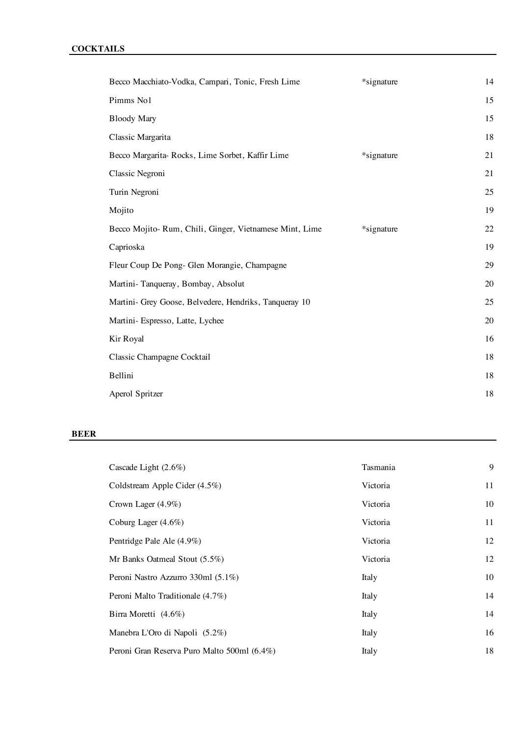| Becco Macchiato-Vodka, Campari, Tonic, Fresh Lime      | *signature | 14 |
|--------------------------------------------------------|------------|----|
| Pimms No1                                              |            | 15 |
| <b>Bloody Mary</b>                                     |            | 15 |
| Classic Margarita                                      |            | 18 |
| Becco Margarita-Rocks, Lime Sorbet, Kaffir Lime        | *signature | 21 |
| Classic Negroni                                        |            | 21 |
| Turin Negroni                                          |            | 25 |
| Mojito                                                 |            | 19 |
| Becco Mojito-Rum, Chili, Ginger, Vietnamese Mint, Lime | *signature | 22 |
| Caprioska                                              |            | 19 |
| Fleur Coup De Pong- Glen Morangie, Champagne           |            | 29 |
| Martini-Tanqueray, Bombay, Absolut                     |            | 20 |
| Martini- Grey Goose, Belvedere, Hendriks, Tanqueray 10 |            | 25 |
| Martini- Espresso, Latte, Lychee                       |            | 20 |
| Kir Royal                                              |            | 16 |
| Classic Champagne Cocktail                             |            | 18 |
| Bellini                                                |            | 18 |
| Aperol Spritzer                                        |            | 18 |
|                                                        |            |    |

#### **BEER**

| Cascade Light $(2.6\%)$                     | Tasmania | 9  |
|---------------------------------------------|----------|----|
| Coldstream Apple Cider (4.5%)               | Victoria | 11 |
| Crown Lager $(4.9\%)$                       | Victoria | 10 |
| Coburg Lager $(4.6\%)$                      | Victoria | 11 |
| Pentridge Pale Ale (4.9%)                   | Victoria | 12 |
| Mr Banks Oatmeal Stout $(5.5\%)$            | Victoria | 12 |
| Peroni Nastro Azzurro 330ml (5.1%)          | Italy    | 10 |
| Peroni Malto Traditionale (4.7%)            | Italy    | 14 |
| Birra Moretti $(4.6\%)$                     | Italy    | 14 |
| Manebra L'Oro di Napoli (5.2%)              | Italy    | 16 |
| Peroni Gran Reserva Puro Malto 500ml (6.4%) | Italy    | 18 |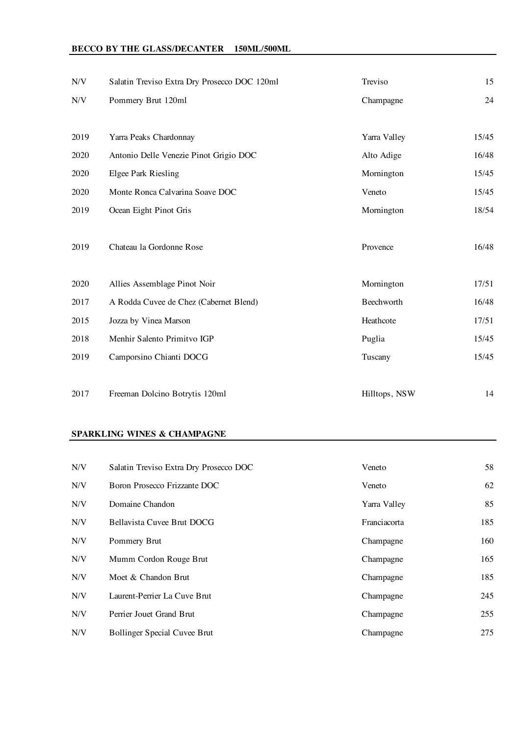# **BECCO BY THE GLASS/DECANTER 150ML/500ML**

| N/V  | Salatin Treviso Extra Dry Prosecco DOC 120ml | Treviso       | 15    |
|------|----------------------------------------------|---------------|-------|
| N/V  | Pommery Brut 120ml                           | Champagne     | 24    |
|      |                                              |               |       |
| 2019 | Yarra Peaks Chardonnay                       | Yarra Valley  | 15/45 |
| 2020 | Antonio Delle Venezie Pinot Grigio DOC       | Alto Adige    | 16/48 |
| 2020 | Elgee Park Riesling                          | Mornington    | 15/45 |
| 2020 | Monte Ronca Calvarina Soave DOC              | Veneto        | 15/45 |
| 2019 | Ocean Eight Pinot Gris                       | Mornington    | 18/54 |
|      |                                              |               |       |
| 2019 | Chateau la Gordonne Rose                     | Provence      | 16/48 |
|      |                                              |               |       |
| 2020 | Allies Assemblage Pinot Noir                 | Mornington    | 17/51 |
| 2017 | A Rodda Cuvee de Chez (Cabernet Blend)       | Beechworth    | 16/48 |
| 2015 | Jozza by Vinea Marson                        | Heathcote     | 17/51 |
| 2018 | Menhir Salento Primitvo IGP                  | Puglia        | 15/45 |
| 2019 | Camporsino Chianti DOCG                      | Tuscany       | 15/45 |
|      |                                              |               |       |
| 2017 | Freeman Dolcino Botrytis 120ml               | Hilltops, NSW | 14    |

### **SPARKLING WINES & CHAMPAGNE**

| N/V | Salatin Treviso Extra Dry Prosecco DOC | Veneto       | 58  |
|-----|----------------------------------------|--------------|-----|
| N/V | Boron Prosecco Frizzante DOC           | Veneto       | 62  |
| N/V | Domaine Chandon                        | Yarra Valley | 85  |
| N/V | Bellavista Cuvee Brut DOCG             | Franciacorta | 185 |
| N/V | Pommery Brut                           | Champagne    | 160 |
| N/V | Mumm Cordon Rouge Brut                 | Champagne    | 165 |
| N/V | Moet & Chandon Brut                    | Champagne    | 185 |
| N/V | Laurent-Perrier La Cuve Brut           | Champagne    | 245 |
| N/V | Perrier Jouet Grand Brut               | Champagne    | 255 |
| N/V | <b>Bollinger Special Cuvee Brut</b>    | Champagne    | 275 |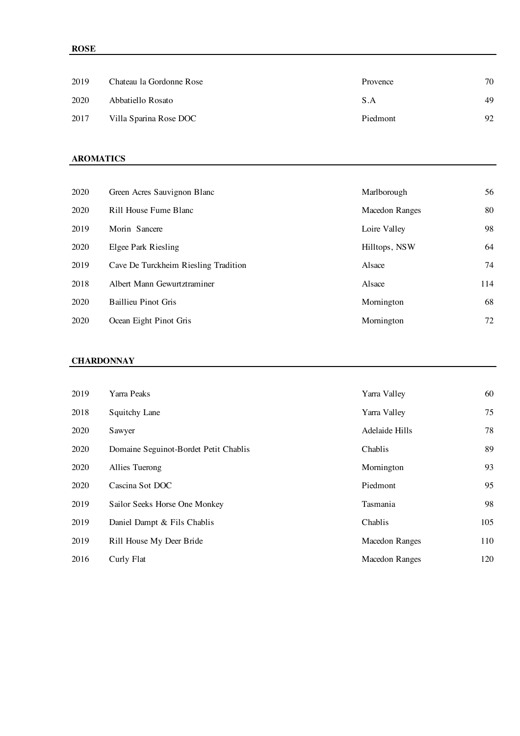| 2019 | Chateau la Gordonne Rose | Provence | 70 |
|------|--------------------------|----------|----|
| 2020 | Abbatiello Rosato        | S.A      | 49 |
| 2017 | Villa Sparina Rose DOC   | Piedmont | 92 |

### **AROMATICS**

| 2020 | Green Acres Sauvignon Blanc          | Marlborough    | 56  |
|------|--------------------------------------|----------------|-----|
| 2020 | Rill House Fume Blanc                | Macedon Ranges | 80  |
| 2019 | Morin Sancere                        | Loire Valley   | 98  |
| 2020 | Elgee Park Riesling                  | Hilltops, NSW  | 64  |
| 2019 | Cave De Turckheim Riesling Tradition | Alsace         | 74  |
| 2018 | Albert Mann Gewurtztraminer          | Alsace         | 114 |
| 2020 | <b>Baillieu Pinot Gris</b>           | Mornington     | 68  |
| 2020 | Ocean Eight Pinot Gris               | Mornington     | 72  |

### **CHARDONNAY**

| 2019 | Yarra Peaks                           | Yarra Valley          | 60  |
|------|---------------------------------------|-----------------------|-----|
| 2018 | Squitchy Lane                         | Yarra Valley          | 75  |
| 2020 | Sawyer                                | Adelaide Hills        | 78  |
| 2020 | Domaine Seguinot-Bordet Petit Chablis | Chablis               | 89  |
| 2020 | Allies Tuerong                        | Mornington            | 93  |
| 2020 | Cascina Sot DOC                       | Piedmont              | 95  |
| 2019 | Sailor Seeks Horse One Monkey         | Tasmania              | 98  |
| 2019 | Daniel Dampt & Fils Chablis           | Chablis               | 105 |
| 2019 | Rill House My Deer Bride              | <b>Macedon Ranges</b> | 110 |
| 2016 | Curly Flat                            | Macedon Ranges        | 120 |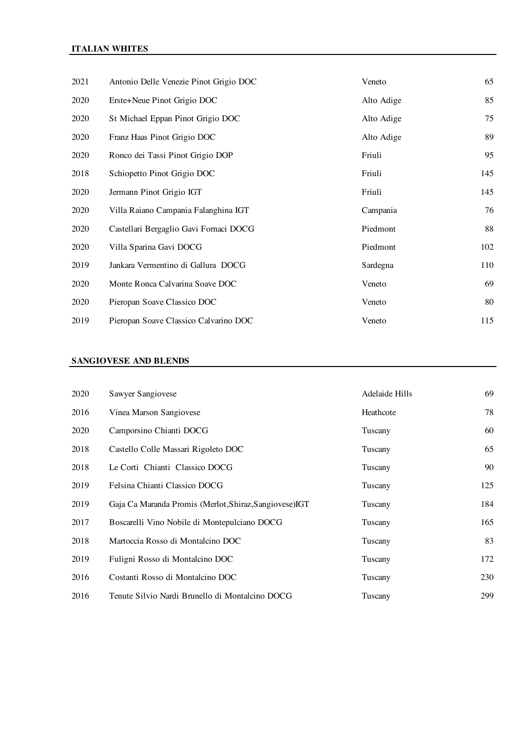### **ITALIAN WHITES**

| 2021 | Antonio Delle Venezie Pinot Grigio DOC | Veneto     | 65  |
|------|----------------------------------------|------------|-----|
| 2020 | Erste+Neue Pinot Grigio DOC            | Alto Adige | 85  |
| 2020 | St Michael Eppan Pinot Grigio DOC      | Alto Adige | 75  |
| 2020 | Franz Haas Pinot Grigio DOC            | Alto Adige | 89  |
| 2020 | Ronco dei Tassi Pinot Grigio DOP       | Friuli     | 95  |
| 2018 | Schiopetto Pinot Grigio DOC            | Friuli     | 145 |
| 2020 | Jermann Pinot Grigio IGT               | Friuli     | 145 |
| 2020 | Villa Raiano Campania Falanghina IGT   | Campania   | 76  |
| 2020 | Castellari Bergaglio Gavi Fornaci DOCG | Piedmont   | 88  |
| 2020 | Villa Sparina Gavi DOCG                | Piedmont   | 102 |
| 2019 | Jankara Vermentino di Gallura DOCG     | Sardegna   | 110 |
| 2020 | Monte Ronca Calvarina Soave DOC        | Veneto     | 69  |
| 2020 | Pieropan Soave Classico DOC            | Veneto     | 80  |
| 2019 | Pieropan Soave Classico Calvarino DOC  | Veneto     | 115 |

### **SANGIOVESE AND BLENDS**

| 2020 | Sawyer Sangiovese                                       | Adelaide Hills | 69  |
|------|---------------------------------------------------------|----------------|-----|
| 2016 | Vinea Marson Sangiovese                                 | Heathcote      | 78  |
| 2020 | Camporsino Chianti DOCG                                 | Tuscany        | 60  |
| 2018 | Castello Colle Massari Rigoleto DOC                     | Tuscany        | 65  |
| 2018 | Le Corti Chianti Classico DOCG                          | Tuscany        | 90  |
| 2019 | Felsina Chianti Classico DOCG                           | Tuscany        | 125 |
| 2019 | Gaja Ca Maranda Promis (Merlot, Shiraz, Sangiovese) IGT | Tuscany        | 184 |
| 2017 | Boscarelli Vino Nobile di Montepulciano DOCG            | Tuscany        | 165 |
| 2018 | Martoccia Rosso di Montalcino DOC                       | Tuscany        | 83  |
| 2019 | Fuligni Rosso di Montalcino DOC                         | Tuscany        | 172 |
| 2016 | Costanti Rosso di Montalcino DOC                        | Tuscany        | 230 |
| 2016 | Tenute Silvio Nardi Brunello di Montalcino DOCG         | Tuscany        | 299 |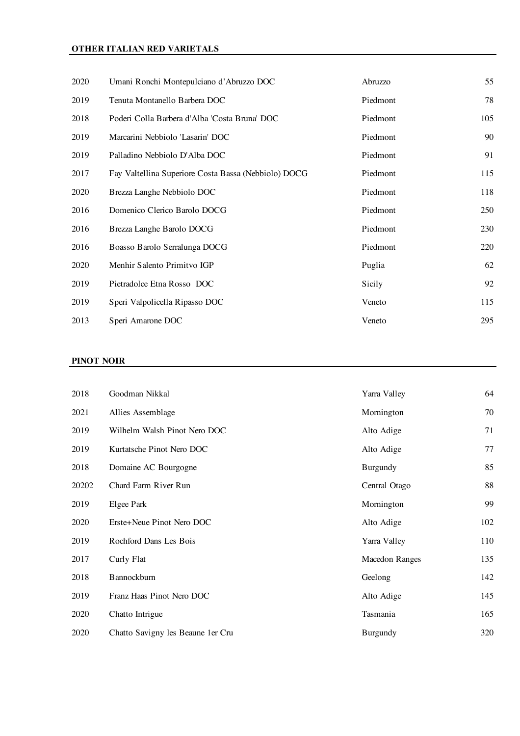## **OTHER ITALIAN RED VARIETALS**

| 2020 | Umani Ronchi Montepulciano d'Abruzzo DOC             | Abruzzo  | 55  |
|------|------------------------------------------------------|----------|-----|
| 2019 | Tenuta Montanello Barbera DOC                        | Piedmont | 78  |
| 2018 | Poderi Colla Barbera d'Alba 'Costa Bruna' DOC        | Piedmont | 105 |
| 2019 | Marcarini Nebbiolo 'Lasarin' DOC                     | Piedmont | 90  |
| 2019 | Palladino Nebbiolo D'Alba DOC                        | Piedmont | 91  |
| 2017 | Fay Valtellina Superiore Costa Bassa (Nebbiolo) DOCG | Piedmont | 115 |
| 2020 | Brezza Langhe Nebbiolo DOC                           | Piedmont | 118 |
| 2016 | Domenico Clerico Barolo DOCG                         | Piedmont | 250 |
| 2016 | Brezza Langhe Barolo DOCG                            | Piedmont | 230 |
| 2016 | Boasso Barolo Serralunga DOCG                        | Piedmont | 220 |
| 2020 | Menhir Salento Primitvo IGP                          | Puglia   | 62  |
| 2019 | Pietradolce Etna Rosso DOC                           | Sicily   | 92  |
| 2019 | Speri Valpolicella Ripasso DOC                       | Veneto   | 115 |
| 2013 | Speri Amarone DOC                                    | Veneto   | 295 |

### **PINOT NOIR**

| 2018  | Goodman Nikkal                    | Yarra Valley          | 64  |
|-------|-----------------------------------|-----------------------|-----|
| 2021  | Allies Assemblage                 | Mornington            | 70  |
| 2019  | Wilhelm Walsh Pinot Nero DOC      | Alto Adige            | 71  |
| 2019  | Kurtatsche Pinot Nero DOC         | Alto Adige            | 77  |
| 2018  | Domaine AC Bourgogne              | Burgundy              | 85  |
| 20202 | Chard Farm River Run              | Central Otago         | 88  |
| 2019  | Elgee Park                        | Mornington            | 99  |
| 2020  | Erste+Neue Pinot Nero DOC         | Alto Adige            | 102 |
| 2019  | Rochford Dans Les Bois            | Yarra Valley          | 110 |
| 2017  | Curly Flat                        | <b>Macedon Ranges</b> | 135 |
| 2018  | Bannockburn                       | Geelong               | 142 |
| 2019  | Franz Haas Pinot Nero DOC         | Alto Adige            | 145 |
| 2020  | Chatto Intrigue                   | Tasmania              | 165 |
| 2020  | Chatto Savigny les Beaune 1er Cru | Burgundy              | 320 |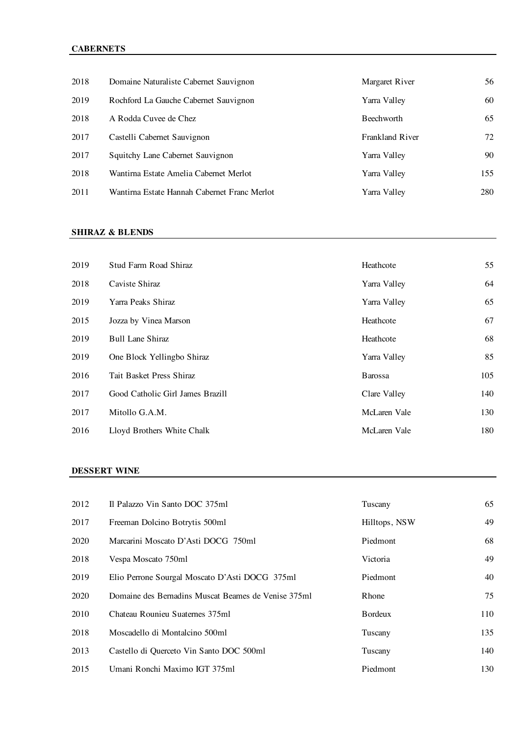# **CABERNETS**

| 2018 | Domaine Naturaliste Cabernet Sauvignon       | Margaret River    | 56  |
|------|----------------------------------------------|-------------------|-----|
| 2019 | Rochford La Gauche Cabernet Sauvignon        | Yarra Valley      | 60  |
| 2018 | A Rodda Cuvee de Chez                        | <b>Beechworth</b> | 65  |
| 2017 | Castelli Cabernet Sauvignon                  | Frankland River   | 72  |
| 2017 | Squitchy Lane Cabernet Sauvignon             | Yarra Valley      | 90  |
| 2018 | Wantirna Estate Amelia Cabernet Merlot       | Yarra Valley      | 155 |
| 2011 | Wantirna Estate Hannah Cabernet Franc Merlot | Yarra Valley      | 280 |

### **SHIRAZ & BLENDS**

| 2019 | Stud Farm Road Shiraz            | Heathcote      | 55  |
|------|----------------------------------|----------------|-----|
| 2018 | Caviste Shiraz                   | Yarra Valley   | 64  |
| 2019 | Yarra Peaks Shiraz               | Yarra Valley   | 65  |
| 2015 | Jozza by Vinea Marson            | Heathcote      | 67  |
| 2019 | <b>Bull Lane Shiraz</b>          | Heathcote      | 68  |
| 2019 | One Block Yellingbo Shiraz       | Yarra Valley   | 85  |
| 2016 | Tait Basket Press Shiraz         | <b>Barossa</b> | 105 |
| 2017 | Good Catholic Girl James Brazill | Clare Valley   | 140 |
| 2017 | Mitollo G.A.M.                   | McLaren Vale   | 130 |
| 2016 | Lloyd Brothers White Chalk       | McLaren Vale   | 180 |

### **DESSERT WINE**

| 2012 | Il Palazzo Vin Santo DOC 375ml                      | Tuscany         | 65  |
|------|-----------------------------------------------------|-----------------|-----|
| 2017 | Freeman Dolcino Botrytis 500ml                      | Hilltops, NSW   | 49  |
| 2020 | Marcarini Moscato D'Asti DOCG 750ml                 | Piedmont        | 68  |
| 2018 | Vespa Moscato 750ml                                 | Victoria        | 49  |
| 2019 | Elio Perrone Sourgal Moscato D'Asti DOCG 375ml      | Piedmont        | 40  |
| 2020 | Domaine des Bernadins Muscat Beames de Venise 375ml | <b>Rhone</b>    | 75  |
| 2010 | Chateau Rounieu Suaternes 375ml                     | <b>B</b> ordeux | 110 |
| 2018 | Moscadello di Montalcino 500ml                      | Tuscany         | 135 |
| 2013 | Castello di Querceto Vin Santo DOC 500ml            | Tuscany         | 140 |
| 2015 | Umani Ronchi Maximo IGT 375ml                       | Piedmont        | 130 |